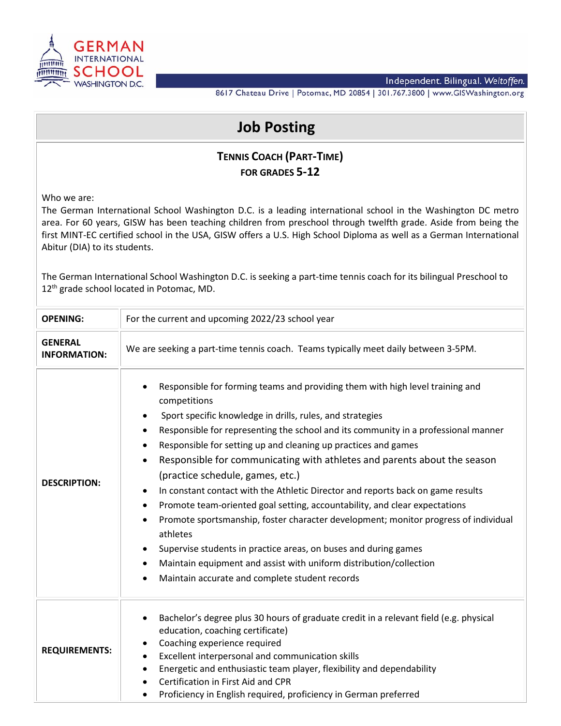

8617 Chateau Drive | Potomac, MD 20854 | 301.767.3800 | www.GISWashington.org

## **Job Posting**

## **TENNIS COACH (PART-TIME) FOR GRADES 5-12**

Who we are:

The German International School Washington D.C. is a leading international school in the Washington DC metro area. For 60 years, GISW has been teaching children from preschool through twelfth grade. Aside from being the first MINT-EC certified school in the USA, GISW offers a U.S. High School Diploma as well as a German International Abitur (DIA) to its students.

The German International School Washington D.C. is seeking a part-time tennis coach for its bilingual Preschool to 12<sup>th</sup> grade school located in Potomac, MD.

| <b>OPENING:</b>                       | For the current and upcoming 2022/23 school year                                                                                                                                                                                                                                                                                                                                                                                                                                                                                                                                                                                                                                                                                                                                                                                                                                                                                                                       |
|---------------------------------------|------------------------------------------------------------------------------------------------------------------------------------------------------------------------------------------------------------------------------------------------------------------------------------------------------------------------------------------------------------------------------------------------------------------------------------------------------------------------------------------------------------------------------------------------------------------------------------------------------------------------------------------------------------------------------------------------------------------------------------------------------------------------------------------------------------------------------------------------------------------------------------------------------------------------------------------------------------------------|
| <b>GENERAL</b><br><b>INFORMATION:</b> | We are seeking a part-time tennis coach. Teams typically meet daily between 3-5PM.                                                                                                                                                                                                                                                                                                                                                                                                                                                                                                                                                                                                                                                                                                                                                                                                                                                                                     |
| <b>DESCRIPTION:</b>                   | Responsible for forming teams and providing them with high level training and<br>competitions<br>Sport specific knowledge in drills, rules, and strategies<br>Responsible for representing the school and its community in a professional manner<br>٠<br>Responsible for setting up and cleaning up practices and games<br>٠<br>Responsible for communicating with athletes and parents about the season<br>$\bullet$<br>(practice schedule, games, etc.)<br>In constant contact with the Athletic Director and reports back on game results<br>٠<br>Promote team-oriented goal setting, accountability, and clear expectations<br>٠<br>Promote sportsmanship, foster character development; monitor progress of individual<br>$\bullet$<br>athletes<br>Supervise students in practice areas, on buses and during games<br>٠<br>Maintain equipment and assist with uniform distribution/collection<br>٠<br>Maintain accurate and complete student records<br>$\bullet$ |
| <b>REQUIREMENTS:</b>                  | Bachelor's degree plus 30 hours of graduate credit in a relevant field (e.g. physical<br>$\bullet$<br>education, coaching certificate)<br>Coaching experience required<br>Excellent interpersonal and communication skills<br>Energetic and enthusiastic team player, flexibility and dependability<br>Certification in First Aid and CPR<br>Proficiency in English required, proficiency in German preferred                                                                                                                                                                                                                                                                                                                                                                                                                                                                                                                                                          |